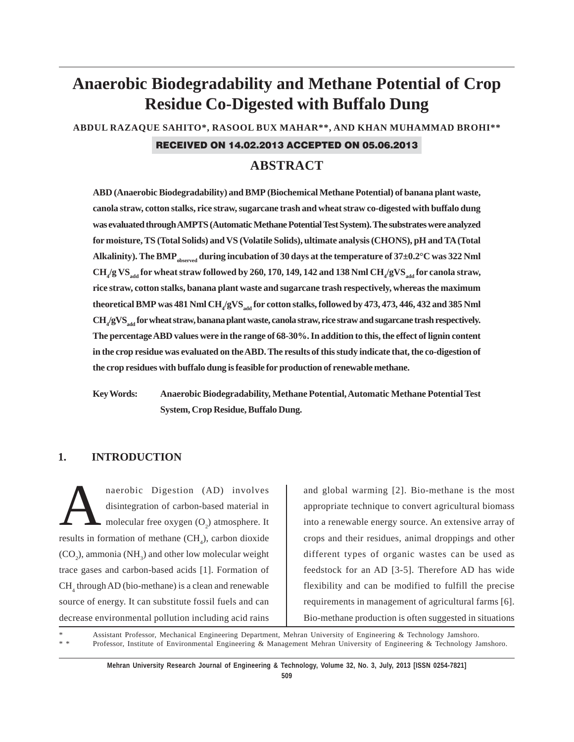# **Anaerobic Biodegradability and Methane Potential of Crop Residue Co-Digested with Buffalo Dung**

**ABDUL RAZAQUE SAHITO\*, RASOOL BUX MAHAR\*\*, AND KHAN MUHAMMAD BROHI\*\***

#### RECEIVED ON 14.02.2013 ACCEPTED ON 05.06.2013

# **ABSTRACT**

**ABD (Anaerobic Biodegradability) and BMP (Biochemical Methane Potential) of banana plant waste, canola straw, cotton stalks, rice straw, sugarcane trash and wheat straw co-digested with buffalo dung was evaluated through AMPTS (Automatic Methane Potential Test System). The substrates were analyzed for moisture, TS (Total Solids) and VS (Volatile Solids), ultimate analysis (CHONS), pH and TA (Total** Alkalinity). The BMP<sub>observed</sub> during incubation of 30 days at the temperature of 37±0.2°C was 322 Nml  $\rm CH_4/g\,VS_{add}}$  for wheat straw followed by 260, 170, 149, 142 and 138 Nml  $\rm CH_4/gVS_{add}}$  for canola straw, **rice straw, cotton stalks, banana plant waste and sugarcane trash respectively, whereas the maximum** theoretical BMP was 481 Nml CH<sub>4</sub>/gVS<sub>add</sub> for cotton stalks, followed by 473, 473, 446, 432 and 385 Nml  $\rm CH_4/gVS_{add}$  for wheat straw, banana plant waste, canola straw, rice straw and sugarcane trash respectively. **The percentage ABD values were in the range of 68-30%. In addition to this, the effect of lignin content in the crop residue was evaluated on the ABD. The results of this study indicate that, the co-digestion of the crop residues with buffalo dung is feasible for production of renewable methane.**

**Key Words: Anaerobic Biodegradability, Methane Potential, Automatic Methane Potential Test System, Crop Residue, Buffalo Dung.**

### **1. INTRODUCTION**

naerobic Digestion (AD) involves<br>disintegration of carbon-based material in<br>molecular free oxygen (O<sub>2</sub>) atmosphere. It disintegration of carbon-based material in results in formation of methane  $(CH_4)$ , carbon dioxide  $(CO<sub>2</sub>)$ , ammonia (NH<sub>3</sub>) and other low molecular weight trace gases and carbon-based acids [1]. Formation of CH<sub>4</sub> through AD (bio-methane) is a clean and renewable source of energy. It can substitute fossil fuels and can decrease environmental pollution including acid rains

and global warming [2]. Bio-methane is the most appropriate technique to convert agricultural biomass into a renewable energy source. An extensive array of crops and their residues, animal droppings and other different types of organic wastes can be used as feedstock for an AD [3-5]. Therefore AD has wide flexibility and can be modified to fulfill the precise requirements in management of agricultural farms [6]. Bio-methane production is often suggested in situations

Assistant Professor, Mechanical Engineering Department, Mehran University of Engineering & Technology Jamshoro. \* \* Professor, Institute of Environmental Engineering & Management Mehran University of Engineering & Technology Jamshoro.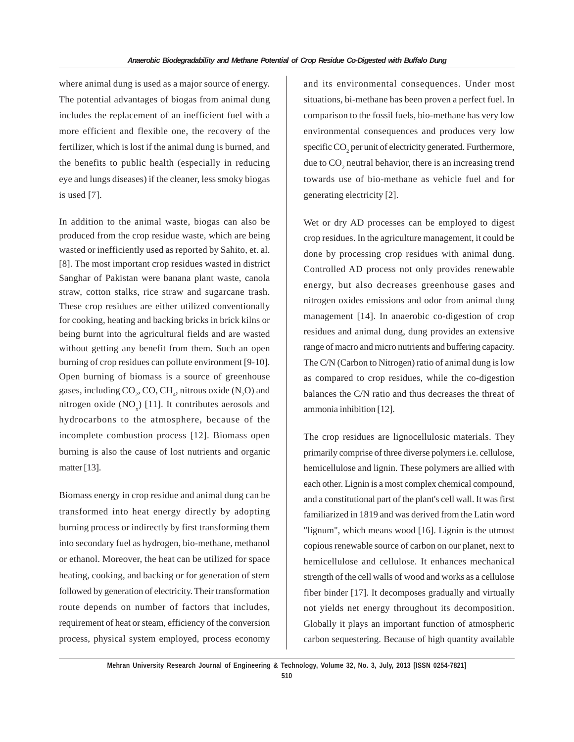where animal dung is used as a major source of energy. The potential advantages of biogas from animal dung includes the replacement of an inefficient fuel with a more efficient and flexible one, the recovery of the fertilizer, which is lost if the animal dung is burned, and the benefits to public health (especially in reducing eye and lungs diseases) if the cleaner, less smoky biogas is used [7].

In addition to the animal waste, biogas can also be produced from the crop residue waste, which are being wasted or inefficiently used as reported by Sahito, et. al. [8]. The most important crop residues wasted in district Sanghar of Pakistan were banana plant waste, canola straw, cotton stalks, rice straw and sugarcane trash. These crop residues are either utilized conventionally for cooking, heating and backing bricks in brick kilns or being burnt into the agricultural fields and are wasted without getting any benefit from them. Such an open burning of crop residues can pollute environment [9-10]. Open burning of biomass is a source of greenhouse gases, including  $CO_2$ , CO, CH<sub>4</sub>, nitrous oxide (N<sub>2</sub>O) and nitrogen oxide  $(NO<sub>x</sub>)$  [11]. It contributes aerosols and hydrocarbons to the atmosphere, because of the incomplete combustion process [12]. Biomass open burning is also the cause of lost nutrients and organic matter [13].

Biomass energy in crop residue and animal dung can be transformed into heat energy directly by adopting burning process or indirectly by first transforming them into secondary fuel as hydrogen, bio-methane, methanol or ethanol. Moreover, the heat can be utilized for space heating, cooking, and backing or for generation of stem followed by generation of electricity. Their transformation route depends on number of factors that includes, requirement of heat or steam, efficiency of the conversion process, physical system employed, process economy

and its environmental consequences. Under most situations, bi-methane has been proven a perfect fuel. In comparison to the fossil fuels, bio-methane has very low environmental consequences and produces very low specific  $CO<sub>2</sub>$  per unit of electricity generated. Furthermore, due to  $CO_2$  neutral behavior, there is an increasing trend towards use of bio-methane as vehicle fuel and for generating electricity [2].

Wet or dry AD processes can be employed to digest crop residues. In the agriculture management, it could be done by processing crop residues with animal dung. Controlled AD process not only provides renewable energy, but also decreases greenhouse gases and nitrogen oxides emissions and odor from animal dung management [14]. In anaerobic co-digestion of crop residues and animal dung, dung provides an extensive range of macro and micro nutrients and buffering capacity. The C/N (Carbon to Nitrogen) ratio of animal dung is low as compared to crop residues, while the co-digestion balances the C/N ratio and thus decreases the threat of ammonia inhibition [12].

The crop residues are lignocellulosic materials. They primarily comprise of three diverse polymers i.e. cellulose, hemicellulose and lignin. These polymers are allied with each other. Lignin is a most complex chemical compound, and a constitutional part of the plant's cell wall. It was first familiarized in 1819 and was derived from the Latin word "lignum", which means wood [16]. Lignin is the utmost copious renewable source of carbon on our planet, next to hemicellulose and cellulose. It enhances mechanical strength of the cell walls of wood and works as a cellulose fiber binder [17]. It decomposes gradually and virtually not yields net energy throughout its decomposition. Globally it plays an important function of atmospheric carbon sequestering. Because of high quantity available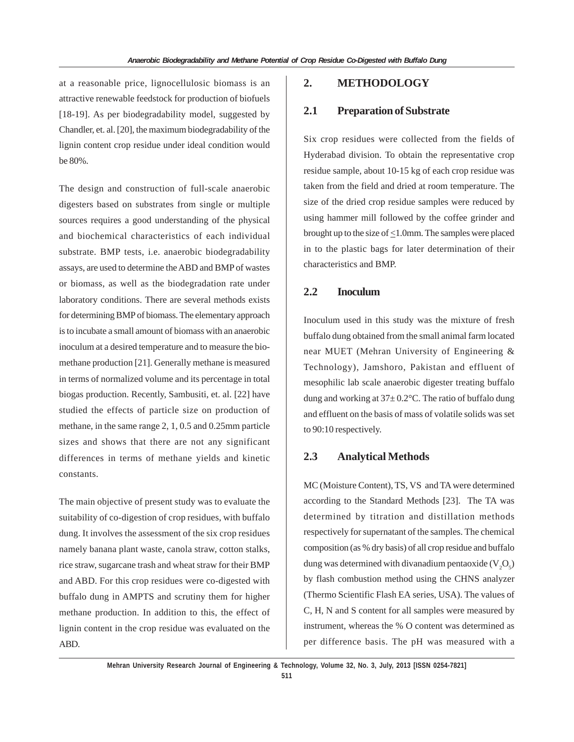at a reasonable price, lignocellulosic biomass is an attractive renewable feedstock for production of biofuels [18-19]. As per biodegradability model, suggested by Chandler, et. al. [20], the maximum biodegradability of the lignin content crop residue under ideal condition would be 80%.

The design and construction of full-scale anaerobic digesters based on substrates from single or multiple sources requires a good understanding of the physical and biochemical characteristics of each individual substrate. BMP tests, i.e. anaerobic biodegradability assays, are used to determine the ABD and BMP of wastes or biomass, as well as the biodegradation rate under laboratory conditions. There are several methods exists for determining BMP of biomass. The elementary approach is to incubate a small amount of biomass with an anaerobic inoculum at a desired temperature and to measure the biomethane production [21]. Generally methane is measured in terms of normalized volume and its percentage in total biogas production. Recently, Sambusiti, et. al. [22] have studied the effects of particle size on production of methane, in the same range 2, 1, 0.5 and 0.25mm particle sizes and shows that there are not any significant differences in terms of methane yields and kinetic constants.

The main objective of present study was to evaluate the suitability of co-digestion of crop residues, with buffalo dung. It involves the assessment of the six crop residues namely banana plant waste, canola straw, cotton stalks, rice straw, sugarcane trash and wheat straw for their BMP and ABD. For this crop residues were co-digested with buffalo dung in AMPTS and scrutiny them for higher methane production. In addition to this, the effect of lignin content in the crop residue was evaluated on the ABD.

### **2. METHODOLOGY**

### **2.1 Preparation of Substrate**

Six crop residues were collected from the fields of Hyderabad division. To obtain the representative crop residue sample, about 10-15 kg of each crop residue was taken from the field and dried at room temperature. The size of the dried crop residue samples were reduced by using hammer mill followed by the coffee grinder and brought up to the size of  $\leq$ 1.0mm. The samples were placed in to the plastic bags for later determination of their characteristics and BMP.

## **2.2 Inoculum**

Inoculum used in this study was the mixture of fresh buffalo dung obtained from the small animal farm located near MUET (Mehran University of Engineering & Technology), Jamshoro, Pakistan and effluent of mesophilic lab scale anaerobic digester treating buffalo dung and working at  $37 \pm 0.2$ °C. The ratio of buffalo dung and effluent on the basis of mass of volatile solids was set to 90:10 respectively.

#### **2.3 Analytical Methods**

MC (Moisture Content), TS, VS and TA were determined according to the Standard Methods [23]. The TA was determined by titration and distillation methods respectively for supernatant of the samples. The chemical composition (as % dry basis) of all crop residue and buffalo dung was determined with divanadium pentaoxide ( $\rm V_2O_5$ ) by flash combustion method using the CHNS analyzer (Thermo Scientific Flash EA series, USA). The values of C, H, N and S content for all samples were measured by instrument, whereas the % O content was determined as per difference basis. The pH was measured with a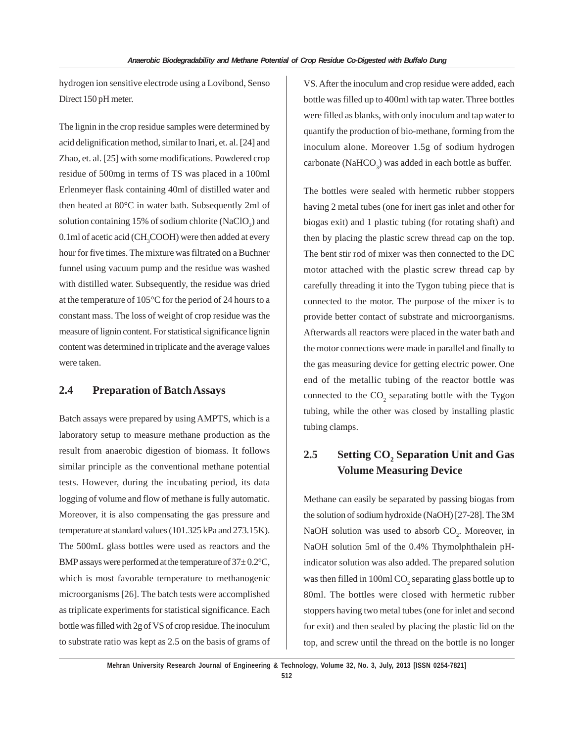hydrogen ion sensitive electrode using a Lovibond, Senso Direct 150 pH meter.

The lignin in the crop residue samples were determined by acid delignification method, similar to Inari, et. al. [24] and Zhao, et. al. [25] with some modifications. Powdered crop residue of 500mg in terms of TS was placed in a 100ml Erlenmeyer flask containing 40ml of distilled water and then heated at 80°C in water bath. Subsequently 2ml of solution containing 15% of sodium chlorite  $(NaClO<sub>2</sub>)$  and  $0.1$ ml of acetic acid (CH<sub>3</sub>COOH) were then added at every hour for five times. The mixture was filtrated on a Buchner funnel using vacuum pump and the residue was washed with distilled water. Subsequently, the residue was dried at the temperature of 105°C for the period of 24 hours to a constant mass. The loss of weight of crop residue was the measure of lignin content. For statistical significance lignin content was determined in triplicate and the average values were taken.

### **2.4 Preparation of Batch Assays**

Batch assays were prepared by using AMPTS, which is a laboratory setup to measure methane production as the result from anaerobic digestion of biomass. It follows similar principle as the conventional methane potential tests. However, during the incubating period, its data logging of volume and flow of methane is fully automatic. Moreover, it is also compensating the gas pressure and temperature at standard values (101.325 kPa and 273.15K). The 500mL glass bottles were used as reactors and the BMP assays were performed at the temperature of  $37 \pm 0.2$ °C, which is most favorable temperature to methanogenic microorganisms [26]. The batch tests were accomplished as triplicate experiments for statistical significance. Each bottle was filled with 2g of VS of crop residue. The inoculum to substrate ratio was kept as 2.5 on the basis of grams of VS. After the inoculum and crop residue were added, each bottle was filled up to 400ml with tap water. Three bottles were filled as blanks, with only inoculum and tap water to quantify the production of bio-methane, forming from the inoculum alone. Moreover 1.5g of sodium hydrogen carbonate (Na $HCO_3$ ) was added in each bottle as buffer.

The bottles were sealed with hermetic rubber stoppers having 2 metal tubes (one for inert gas inlet and other for biogas exit) and 1 plastic tubing (for rotating shaft) and then by placing the plastic screw thread cap on the top. The bent stir rod of mixer was then connected to the DC motor attached with the plastic screw thread cap by carefully threading it into the Tygon tubing piece that is connected to the motor. The purpose of the mixer is to provide better contact of substrate and microorganisms. Afterwards all reactors were placed in the water bath and the motor connections were made in parallel and finally to the gas measuring device for getting electric power. One end of the metallic tubing of the reactor bottle was connected to the  $CO_2$  separating bottle with the Tygon tubing, while the other was closed by installing plastic tubing clamps.

# **2.5** Setting CO<sub>2</sub> Separation Unit and Gas **Volume Measuring Device**

Methane can easily be separated by passing biogas from the solution of sodium hydroxide (NaOH) [27-28]. The 3M NaOH solution was used to absorb  $CO<sub>2</sub>$ . Moreover, in NaOH solution 5ml of the 0.4% Thymolphthalein pHindicator solution was also added. The prepared solution was then filled in 100ml  $\mathrm{CO}_2$  separating glass bottle up to 80ml. The bottles were closed with hermetic rubber stoppers having two metal tubes (one for inlet and second for exit) and then sealed by placing the plastic lid on the top, and screw until the thread on the bottle is no longer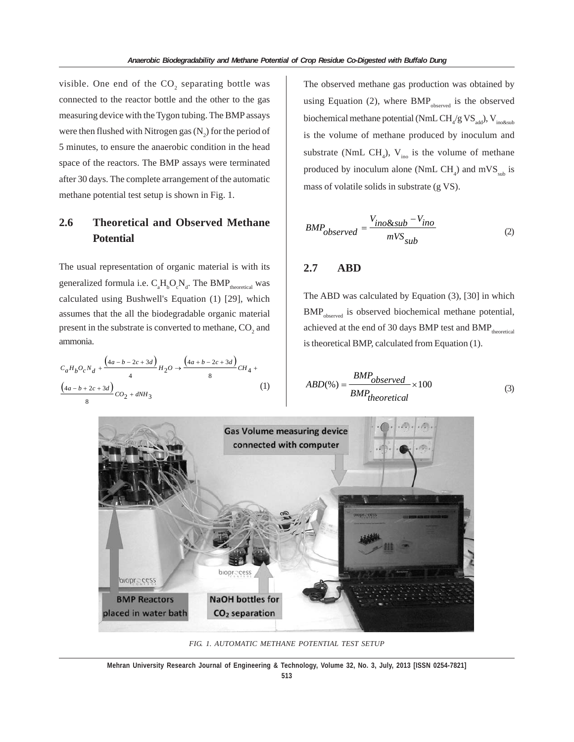visible. One end of the  $CO_2$  separating bottle was connected to the reactor bottle and the other to the gas measuring device with the Tygon tubing. The BMP assays were then flushed with Nitrogen gas  $(N_2)$  for the period of 5 minutes, to ensure the anaerobic condition in the head space of the reactors. The BMP assays were terminated after 30 days. The complete arrangement of the automatic methane potential test setup is shown in Fig. 1.

# **2.6 Theoretical and Observed Methane Potential**

The usual representation of organic material is with its generalized formula i.e.  $C_aH_bO_cN_d$ . The BMP<sub>theoretical</sub> was calculated using Bushwell's Equation (1) [29], which assumes that the all the biodegradable organic material present in the substrate is converted to methane,  $CO<sub>2</sub>$  and ammonia.

$$
C_aH_bO_cN_d + \frac{(4a - b - 2c + 3d)}{4}H_2O \to \frac{(4a + b - 2c + 3d)}{8}CH_4 + \frac{(4a - b + 2c + 3d)}{8}CO_2 + dNH_3
$$
\n(1)

The observed methane gas production was obtained by using Equation (2), where  $BMP_{observed}$  is the observed biochemical methane potential (NmL  $\rm CH_{4}/g\rm \,VS_{add}$ ), V<sub>ino&sub</sub> is the volume of methane produced by inoculum and substrate (NmL CH<sub>4</sub>),  $V_{\text{ino}}$  is the volume of methane produced by inoculum alone (NmL  $CH_4$ ) and mVS<sub>sub</sub> is mass of volatile solids in substrate (g VS).

$$
BMP_{observed} = \frac{V_{ino\⊂} - V_{ino}}{mVS_{sub}}
$$
 (2)

### **2.7 ABD**

The ABD was calculated by Equation (3), [30] in which BMP<sub>observed</sub> is observed biochemical methane potential, achieved at the end of 30 days BMP test and  $BMP_{\text{theoretical}}$ is theoretical BMP, calculated from Equation (1).

$$
ABD(\%) = \frac{BMP_{observed}}{BMP_{theoretical}} \times 100
$$
 (3)



*FIG. 1. AUTOMATIC METHANE POTENTIAL TEST SETUP*

**Mehran University Research Journal of Engineering & Technology, Volume 32, No. 3, July, 2013 [ISSN 0254-7821]**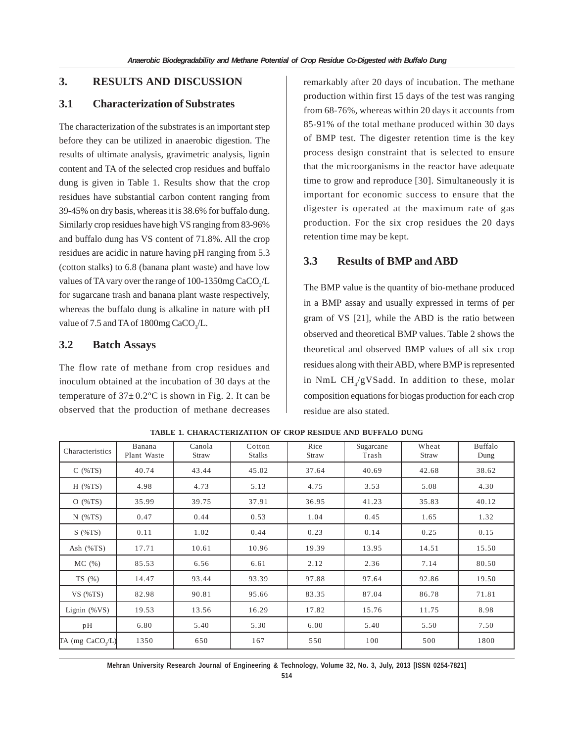### **3. RESULTS AND DISCUSSION**

### **3.1 Characterization of Substrates**

The characterization of the substrates is an important step before they can be utilized in anaerobic digestion. The results of ultimate analysis, gravimetric analysis, lignin content and TA of the selected crop residues and buffalo dung is given in Table 1. Results show that the crop residues have substantial carbon content ranging from 39-45% on dry basis, whereas it is 38.6% for buffalo dung. Similarly crop residues have high VS ranging from 83-96% and buffalo dung has VS content of 71.8%. All the crop residues are acidic in nature having pH ranging from 5.3 (cotton stalks) to 6.8 (banana plant waste) and have low values of TA vary over the range of 100-1350mg  $CaCO<sub>3</sub>/L$ for sugarcane trash and banana plant waste respectively, whereas the buffalo dung is alkaline in nature with pH value of 7.5 and TA of 1800mg  $CaCO<sub>3</sub>/L$ .

### **3.2 Batch Assays**

The flow rate of methane from crop residues and inoculum obtained at the incubation of 30 days at the temperature of  $37 \pm 0.2$ °C is shown in Fig. 2. It can be observed that the production of methane decreases remarkably after 20 days of incubation. The methane production within first 15 days of the test was ranging from 68-76%, whereas within 20 days it accounts from 85-91% of the total methane produced within 30 days of BMP test. The digester retention time is the key process design constraint that is selected to ensure that the microorganisms in the reactor have adequate time to grow and reproduce [30]. Simultaneously it is important for economic success to ensure that the digester is operated at the maximum rate of gas production. For the six crop residues the 20 days retention time may be kept.

### **3.3 Results of BMP and ABD**

The BMP value is the quantity of bio-methane produced in a BMP assay and usually expressed in terms of per gram of VS [21], while the ABD is the ratio between observed and theoretical BMP values. Table 2 shows the theoretical and observed BMP values of all six crop residues along with their ABD, where BMP is represented in NmL  $\text{CH}_4/\text{gVS}$ add. In addition to these, molar composition equations for biogas production for each crop residue are also stated.

| Characteristics              | Banana<br>Plant Waste | Canola<br>Straw | Cotton<br><b>Stalks</b> | Rice<br>Straw | Sugarcane<br>Trash | Wheat<br>Straw | Buffalo<br>Dung |
|------------------------------|-----------------------|-----------------|-------------------------|---------------|--------------------|----------------|-----------------|
| $C($ %TS)                    | 40.74                 | 43.44           | 45.02                   | 37.64         | 40.69              | 42.68          | 38.62           |
| $H$ (%TS)                    | 4.98                  | 4.73            | 5.13                    | 4.75          | 3.53               | 5.08           | 4.30            |
| O(%TS)                       | 35.99                 | 39.75           | 37.91                   | 36.95         | 41.23              | 35.83          | 40.12           |
| $N$ (%TS)                    | 0.47                  | 0.44            | 0.53                    | 1.04          | 0.45               | 1.65           | 1.32            |
| $S($ %TS)                    | 0.11                  | 1.02            | 0.44                    | 0.23          | 0.14               | 0.25           | 0.15            |
| Ash $(\%TS)$                 | 17.71                 | 10.61           | 10.96                   | 19.39         | 13.95              | 14.51          | 15.50           |
| MC(%)                        | 85.53                 | 6.56            | 6.61                    | 2.12          | 2.36               | 7.14           | 80.50           |
| TS $(\% )$                   | 14.47                 | 93.44           | 93.39                   | 97.88         | 97.64              | 92.86          | 19.50           |
| $VS$ (%TS)                   | 82.98                 | 90.81           | 95.66                   | 83.35         | 87.04              | 86.78          | 71.81           |
| Lignin $(\%VS)$              | 19.53                 | 13.56           | 16.29                   | 17.82         | 15.76              | 11.75          | 8.98            |
| pH                           | 6.80                  | 5.40            | 5.30                    | 6.00          | 5.40               | 5.50           | 7.50            |
| TA (mg CaCO <sub>2</sub> /L) | 1350                  | 650             | 167                     | 550           | 100                | 500            | 1800            |

**TABLE 1. CHARACTERIZATION OF CROP RESIDUE AND BUFFALO DUNG**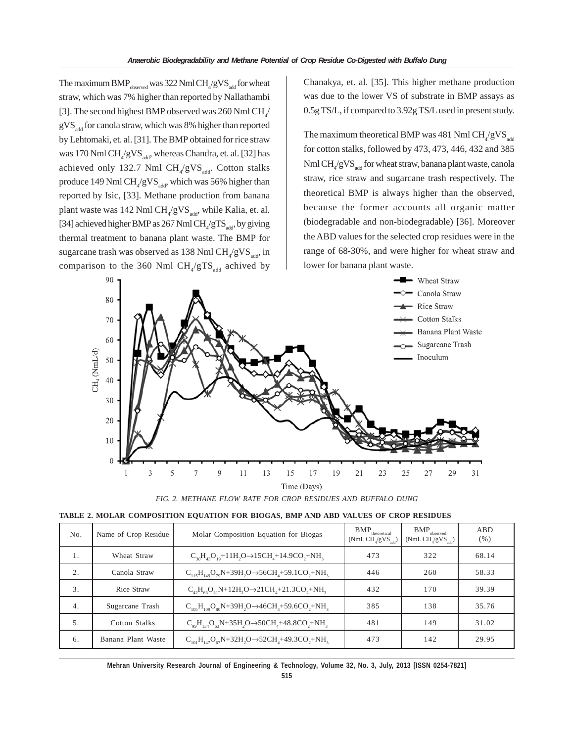The maximum  $\mathrm{BMP}_\mathrm{observed}$  was 322 Nml  $\mathrm{CH}_4/\mathrm{gVS}_\mathrm{add}$  for wheat straw, which was 7% higher than reported by Nallathambi [3]. The second highest BMP observed was 260 Nml  $\text{CH}_4$ /  $gVS<sub>add</sub>$  for canola straw, which was 8% higher than reported by Lehtomaki, et. al. [31]. The BMP obtained for rice straw was 170 Nml  $\mathrm{CH}_4/\mathrm{gVS}_\mathrm{add}$ , whereas Chandra, et. al. [32] has achieved only 132.7 Nml  $\text{CH}_4/\text{gVS}_\text{add}$ . Cotton stalks produce 149 Nml  $\text{CH}_4/\text{gVS}_{\text{add}}$ , which was 56% higher than reported by Isic, [33]. Methane production from banana plant waste was 142 Nml  $\text{CH}_4/\text{gVS}_\text{add}$ , while Kalia, et. al. [34] achieved higher BMP as 267 Nml  $CH_4/gTS_{add}$ , by giving thermal treatment to banana plant waste. The BMP for sugarcane trash was observed as  $138$  Nml  $\mathrm{CH}_4/\mathrm{gVS}_\mathrm{add}$ , in comparison to the 360 Nml  $\text{CH}_4/\text{gTS}_{\text{add}}$  achived by Chanakya, et. al. [35]. This higher methane production was due to the lower VS of substrate in BMP assays as 0.5g TS/L, if compared to 3.92g TS/L used in present study.

The maximum theoretical BMP was 481 Nml  $\mathrm{CH}_4/\mathrm{gVS}_\mathrm{add}$ for cotton stalks, followed by 473, 473, 446, 432 and 385 Nml  $\rm CH_{4}/gVS_{add}$  for wheat straw, banana plant waste, canola straw, rice straw and sugarcane trash respectively. The theoretical BMP is always higher than the observed, because the former accounts all organic matter (biodegradable and non-biodegradable) [36]. Moreover the ABD values for the selected crop residues were in the range of 68-30%, and were higher for wheat straw and lower for banana plant waste.



*FIG. 2. METHANE FLOW RATE FOR CROP RESIDUES AND BUFFALO DUNG*

|  | TABLE 2. MOLAR COMPOSITION EOUATION FOR BIOGAS, BMP AND ABD VALUES OF CROP RESIDUES |  |  |  |
|--|-------------------------------------------------------------------------------------|--|--|--|
|  |                                                                                     |  |  |  |
|  |                                                                                     |  |  |  |

| No. | Name of Crop Residue | Molar Composition Equation for Biogas                                | ${\rm BMP}_{\rm theoretical}$<br>(NmL CH/gVS) | ${\rm BMP}_{\rm observed}$<br>$(NmL CH/gVS_{std})$ | ABD<br>$(\% )$ |
|-----|----------------------|----------------------------------------------------------------------|-----------------------------------------------|----------------------------------------------------|----------------|
| 1.  | Wheat Straw          | $C_{20}H_{42}O_{10}+11H_2O \rightarrow 15CH_4+14.9CO_3+NH_2$         | 473                                           | 322                                                | 68.14          |
| 2.  | Canola Straw         | $C_{115}H_{149}O_{79}N+39H_2O \rightarrow 56CH_4+59.1CO_2+NH_3$      | 446                                           | 260                                                | 58.33          |
| 3.  | Rice Straw           | $C_{42}H_{63}O_{31}N+12H_{2}O\rightarrow 21CH_{4}+21.3CO_{2}+NH_{3}$ | 432                                           | 170                                                | 39.39          |
| 4.  | Sugarcane Trash      | $C_{105}H_{100}O_{80}N+39H_2O\rightarrow46CH_4+59.6CO_2+NH_3$        | 385                                           | 138                                                | 35.76          |
| 5.  | Cotton Stalks        | $C_{\alpha 0}H_{134}O_{63}N+35H_2O \rightarrow 50CH_4+48.8CO_3+NH_3$ | 481                                           | 149                                                | 31.02          |
| 6.  | Banana Plant Waste   | $C_{101}H_{147}O_{67}N+32H_2O \rightarrow 52CH_4+49.3CO_3+NH_3$      | 473                                           | 142                                                | 29.95          |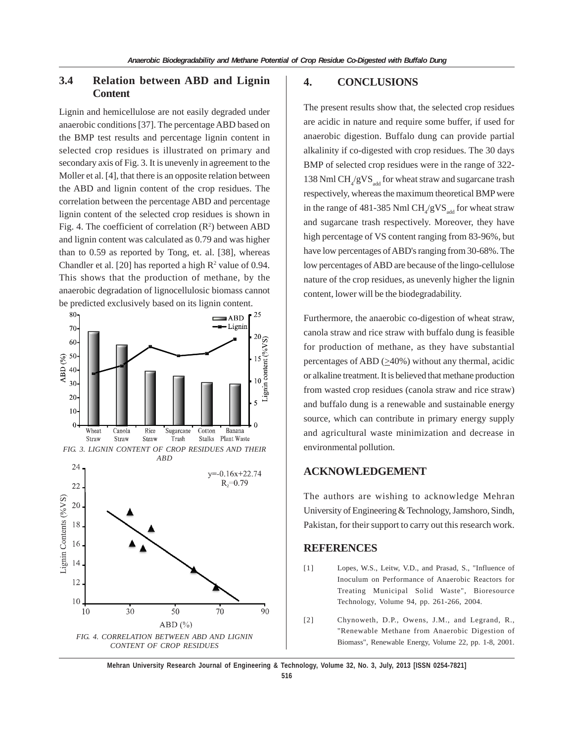### **3.4 Relation between ABD and Lignin Content**

Lignin and hemicellulose are not easily degraded under anaerobic conditions [37]. The percentage ABD based on the BMP test results and percentage lignin content in selected crop residues is illustrated on primary and secondary axis of Fig. 3. It is unevenly in agreement to the Moller et al. [4], that there is an opposite relation between the ABD and lignin content of the crop residues. The correlation between the percentage ABD and percentage lignin content of the selected crop residues is shown in Fig. 4. The coefficient of correlation  $(R^2)$  between ABD and lignin content was calculated as 0.79 and was higher than to 0.59 as reported by Tong, et. al. [38], whereas Chandler et al. [20] has reported a high  $R^2$  value of 0.94. This shows that the production of methane, by the anaerobic degradation of lignocellulosic biomass cannot be predicted exclusively based on its lignin content.



### **4. CONCLUSIONS**

The present results show that, the selected crop residues are acidic in nature and require some buffer, if used for anaerobic digestion. Buffalo dung can provide partial alkalinity if co-digested with crop residues. The 30 days BMP of selected crop residues were in the range of 322- 138 Nml  $\text{CH}_{\text{4}}/\text{gVS}_{\text{add}}$  for wheat straw and sugarcane trash respectively, whereas the maximum theoretical BMP were in the range of 481-385 Nml  $\text{CH}_{4}/\text{gVS}_{\text{add}}$  for wheat straw and sugarcane trash respectively. Moreover, they have high percentage of VS content ranging from 83-96%, but have low percentages of ABD's ranging from 30-68%. The low percentages of ABD are because of the lingo-cellulose nature of the crop residues, as unevenly higher the lignin content, lower will be the biodegradability.

Furthermore, the anaerobic co-digestion of wheat straw, canola straw and rice straw with buffalo dung is feasible for production of methane, as they have substantial percentages of ABD  $(\geq 40\%)$  without any thermal, acidic or alkaline treatment. It is believed that methane production from wasted crop residues (canola straw and rice straw) and buffalo dung is a renewable and sustainable energy source, which can contribute in primary energy supply and agricultural waste minimization and decrease in environmental pollution.

### **ACKNOWLEDGEMENT**

The authors are wishing to acknowledge Mehran University of Engineering & Technology, Jamshoro, Sindh, Pakistan, for their support to carry out this research work.

### **REFERENCES**

- [1] Lopes, W.S., Leitw, V.D., and Prasad, S., "Influence of Inoculum on Performance of Anaerobic Reactors for Treating Municipal Solid Waste", Bioresource Technology, Volume 94, pp. 261-266, 2004.
- [2] Chynoweth, D.P., Owens, J.M., and Legrand, R., "Renewable Methane from Anaerobic Digestion of Biomass", Renewable Energy, Volume 22, pp. 1-8, 2001.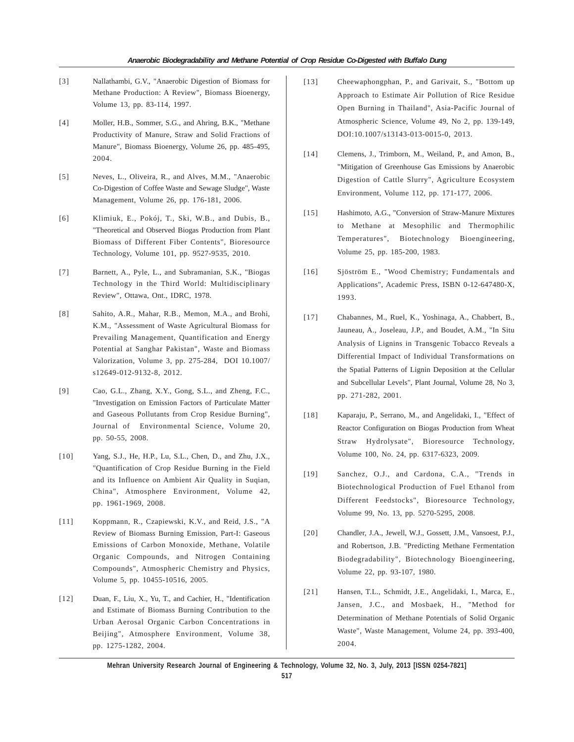- [3] Nallathambi, G.V., "Anaerobic Digestion of Biomass for Methane Production: A Review", Biomass Bioenergy, Volume 13, pp. 83-114, 1997.
- [4] Moller, H.B., Sommer, S.G., and Ahring, B.K., "Methane Productivity of Manure, Straw and Solid Fractions of Manure", Biomass Bioenergy, Volume 26, pp. 485-495, 2004.
- [5] Neves, L., Oliveira, R., and Alves, M.M., "Anaerobic Co-Digestion of Coffee Waste and Sewage Sludge", Waste Management, Volume 26, pp. 176-181, 2006.
- [6] Klimiuk, E., Pokój, T., Ski, W.B., and Dubis, B., "Theoretical and Observed Biogas Production from Plant Biomass of Different Fiber Contents", Bioresource Technology, Volume 101, pp. 9527-9535, 2010.
- [7] Barnett, A., Pyle, L., and Subramanian, S.K., "Biogas Technology in the Third World: Multidisciplinary Review", Ottawa, Ont., IDRC, 1978.
- [8] Sahito, A.R., Mahar, R.B., Memon, M.A., and Brohi, K.M., "Assessment of Waste Agricultural Biomass for Prevailing Management, Quantification and Energy Potential at Sanghar Pakistan", Waste and Biomass Valorization, Volume 3, pp. 275-284, DOI 10.1007/ s12649-012-9132-8, 2012.
- [9] Cao, G.L., Zhang, X.Y., Gong, S.L., and Zheng, F.C., "Investigation on Emission Factors of Particulate Matter and Gaseous Pollutants from Crop Residue Burning", Journal of Environmental Science, Volume 20, pp. 50-55, 2008.
- [10] Yang, S.J., He, H.P., Lu, S.L., Chen, D., and Zhu, J.X., "Quantification of Crop Residue Burning in the Field and its Influence on Ambient Air Quality in Suqian, China", Atmosphere Environment, Volume 42, pp. 1961-1969, 2008.
- [11] Koppmann, R., Czapiewski, K.V., and Reid, J.S., "A Review of Biomass Burning Emission, Part-I: Gaseous Emissions of Carbon Monoxide, Methane, Volatile Organic Compounds, and Nitrogen Containing Compounds", Atmospheric Chemistry and Physics, Volume 5, pp. 10455-10516, 2005.
- [12] Duan, F., Liu, X., Yu, T., and Cachier, H., "Identification and Estimate of Biomass Burning Contribution to the Urban Aerosal Organic Carbon Concentrations in Beijing", Atmosphere Environment, Volume 38, pp. 1275-1282, 2004.
- [13] Cheewaphongphan, P., and Garivait, S., "Bottom up Approach to Estimate Air Pollution of Rice Residue Open Burning in Thailand", Asia-Pacific Journal of Atmospheric Science, Volume 49, No 2, pp. 139-149, DOI:10.1007/s13143-013-0015-0, 2013.
- [14] Clemens, J., Trimborn, M., Weiland, P., and Amon, B., "Mitigation of Greenhouse Gas Emissions by Anaerobic Digestion of Cattle Slurry", Agriculture Ecosystem Environment, Volume 112, pp. 171-177, 2006.
- [15] Hashimoto, A.G., "Conversion of Straw-Manure Mixtures to Methane at Mesophilic and Thermophilic Temperatures", Biotechnology Bioengineering, Volume 25, pp. 185-200, 1983.
- [16] Sjöström E., "Wood Chemistry; Fundamentals and Applications", Academic Press, ISBN 0-12-647480-X, 1993.
- [17] Chabannes, M., Ruel, K., Yoshinaga, A., Chabbert, B., Jauneau, A., Joseleau, J.P., and Boudet, A.M., "In Situ Analysis of Lignins in Transgenic Tobacco Reveals a Differential Impact of Individual Transformations on the Spatial Patterns of Lignin Deposition at the Cellular and Subcellular Levels", Plant Journal, Volume 28, No 3, pp. 271-282, 2001.
- [18] Kaparaju, P., Serrano, M., and Angelidaki, I., "Effect of Reactor Configuration on Biogas Production from Wheat Straw Hydrolysate", Bioresource Technology, Volume 100, No. 24, pp. 6317-6323, 2009.
- [19] Sanchez, O.J., and Cardona, C.A., "Trends in Biotechnological Production of Fuel Ethanol from Different Feedstocks", Bioresource Technology, Volume 99, No. 13, pp. 5270-5295, 2008.
- [20] Chandler, J.A., Jewell, W.J., Gossett, J.M., Vansoest, P.J., and Robertson, J.B. "Predicting Methane Fermentation Biodegradability", Biotechnology Bioengineering, Volume 22, pp. 93-107, 1980.
- [21] Hansen, T.L., Schmidt, J.E., Angelidaki, I., Marca, E., Jansen, J.C., and Mosbaek, H., "Method for Determination of Methane Potentials of Solid Organic Waste", Waste Management, Volume 24, pp. 393-400, 2004.

**Mehran University Research Journal of Engineering & Technology, Volume 32, No. 3, July, 2013 [ISSN 0254-7821]**